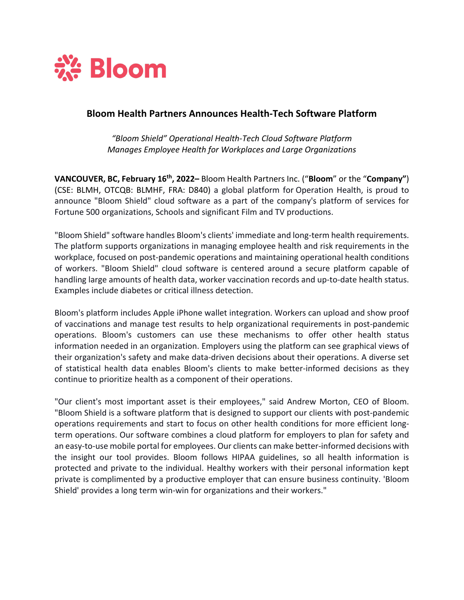

## **Bloom Health Partners Announces Health-Tech Software Platform**

*"Bloom Shield" Operational Health-Tech Cloud Software Platform Manages Employee Health for Workplaces and Large Organizations*

**VANCOUVER, BC, February 16th, 2022–** Bloom Health Partners Inc. ("**Bloom**" or the "**Company"**) (CSE: BLMH, OTCQB: BLMHF, FRA: D840) a global platform for Operation Health, is proud to announce "Bloom Shield" cloud software as a part of the company's platform of services for Fortune 500 organizations, Schools and significant Film and TV productions.

"Bloom Shield" software handles Bloom's clients' immediate and long-term health requirements. The platform supports organizations in managing employee health and risk requirements in the workplace, focused on post-pandemic operations and maintaining operational health conditions of workers. "Bloom Shield" cloud software is centered around a secure platform capable of handling large amounts of health data, worker vaccination records and up-to-date health status. Examples include diabetes or critical illness detection.

Bloom's platform includes Apple iPhone wallet integration. Workers can upload and show proof of vaccinations and manage test results to help organizational requirements in post-pandemic operations. Bloom's customers can use these mechanisms to offer other health status information needed in an organization. Employers using the platform can see graphical views of their organization's safety and make data-driven decisions about their operations. A diverse set of statistical health data enables Bloom's clients to make better-informed decisions as they continue to prioritize health as a component of their operations.

"Our client's most important asset is their employees," said Andrew Morton, CEO of Bloom. "Bloom Shield is a software platform that is designed to support our clients with post-pandemic operations requirements and start to focus on other health conditions for more efficient longterm operations. Our software combines a cloud platform for employers to plan for safety and an easy-to-use mobile portal for employees. Our clients can make better-informed decisions with the insight our tool provides. Bloom follows HIPAA guidelines, so all health information is protected and private to the individual. Healthy workers with their personal information kept private is complimented by a productive employer that can ensure business continuity. 'Bloom Shield' provides a long term win-win for organizations and their workers."